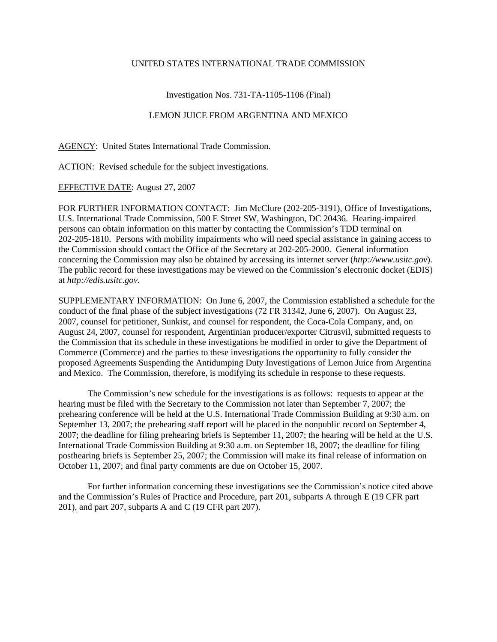## UNITED STATES INTERNATIONAL TRADE COMMISSION

## Investigation Nos. 731-TA-1105-1106 (Final)

## LEMON JUICE FROM ARGENTINA AND MEXICO

AGENCY: United States International Trade Commission.

ACTION: Revised schedule for the subject investigations.

## EFFECTIVE DATE: August 27, 2007

FOR FURTHER INFORMATION CONTACT: Jim McClure (202-205-3191), Office of Investigations, U.S. International Trade Commission, 500 E Street SW, Washington, DC 20436. Hearing-impaired persons can obtain information on this matter by contacting the Commission's TDD terminal on 202-205-1810. Persons with mobility impairments who will need special assistance in gaining access to the Commission should contact the Office of the Secretary at 202-205-2000. General information concerning the Commission may also be obtained by accessing its internet server (*http://www.usitc.gov*). The public record for these investigations may be viewed on the Commission's electronic docket (EDIS) at *http://edis.usitc.gov*.

SUPPLEMENTARY INFORMATION: On June 6, 2007, the Commission established a schedule for the conduct of the final phase of the subject investigations (72 FR 31342, June 6, 2007). On August 23, 2007, counsel for petitioner, Sunkist, and counsel for respondent, the Coca-Cola Company, and, on August 24, 2007, counsel for respondent, Argentinian producer/exporter Citrusvil, submitted requests to the Commission that its schedule in these investigations be modified in order to give the Department of Commerce (Commerce) and the parties to these investigations the opportunity to fully consider the proposed Agreements Suspending the Antidumping Duty Investigations of Lemon Juice from Argentina and Mexico. The Commission, therefore, is modifying its schedule in response to these requests.

The Commission's new schedule for the investigations is as follows: requests to appear at the hearing must be filed with the Secretary to the Commission not later than September 7, 2007; the prehearing conference will be held at the U.S. International Trade Commission Building at 9:30 a.m. on September 13, 2007; the prehearing staff report will be placed in the nonpublic record on September 4, 2007; the deadline for filing prehearing briefs is September 11, 2007; the hearing will be held at the U.S. International Trade Commission Building at 9:30 a.m. on September 18, 2007; the deadline for filing posthearing briefs is September 25, 2007; the Commission will make its final release of information on October 11, 2007; and final party comments are due on October 15, 2007.

For further information concerning these investigations see the Commission's notice cited above and the Commission's Rules of Practice and Procedure, part 201, subparts A through E (19 CFR part 201), and part 207, subparts A and C (19 CFR part 207).